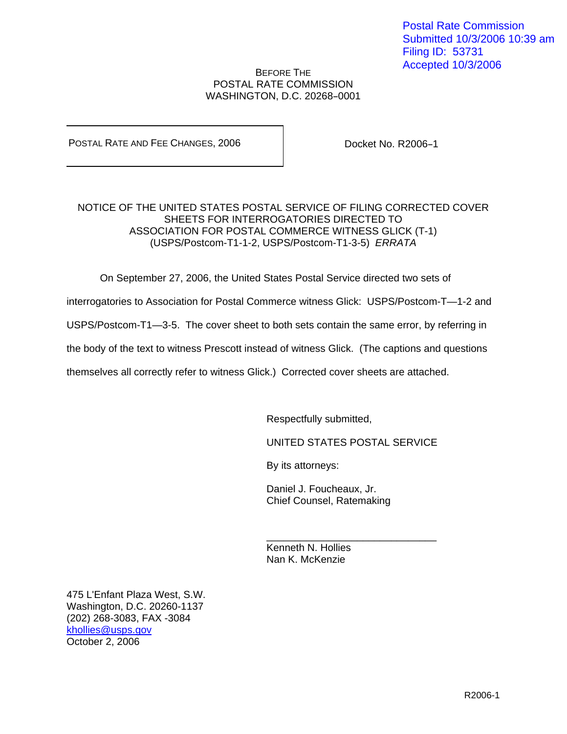#### BEFORE THE POSTAL RATE COMMISSION WASHINGTON, D.C. 20268-0001

POSTAL RATE AND FEE CHANGES, 2006

Docket No. R2006-1

# NOTICE OF THE UNITED STATES POSTAL SERVICE OF FILING CORRECTED COVER SHEETS FOR INTERROGATORIES DIRECTED TO ASSOCIATION FOR POSTAL COMMERCE WITNESS GLICK (T-1) (USPS/Postcom-T1-1-2, USPS/Postcom-T1-3-5) ERRATA

On September 27, 2006, the United States Postal Service directed two sets of

interrogatories to Association for Postal Commerce witness Glick: USPS/Postcom-T—1-2 and

USPS/Postcom-T1—3-5. The cover sheet to both sets contain the same error, by referring in

the body of the text to witness Prescott instead of witness Glick. (The captions and questions

themselves all correctly refer to witness Glick.) Corrected cover sheets are attached.

 $\frac{1}{\sqrt{2\pi}}$  , and the contract of the contract of the contract of the contract of the contract of the contract of the contract of the contract of the contract of the contract of the contract of the contract of the cont

Respectfully submitted,

UNITED STATES POSTAL SERVICE

By its attorneys:

Daniel J. Foucheaux, Jr. Chief Counsel, Ratemaking

 Kenneth N. Hollies Nan K. McKenzie

475 L'Enfant Plaza West, S.W. Washington, D.C. 20260-1137 (202) 268-3083, FAX -3084 khollies@usps.gov October 2, 2006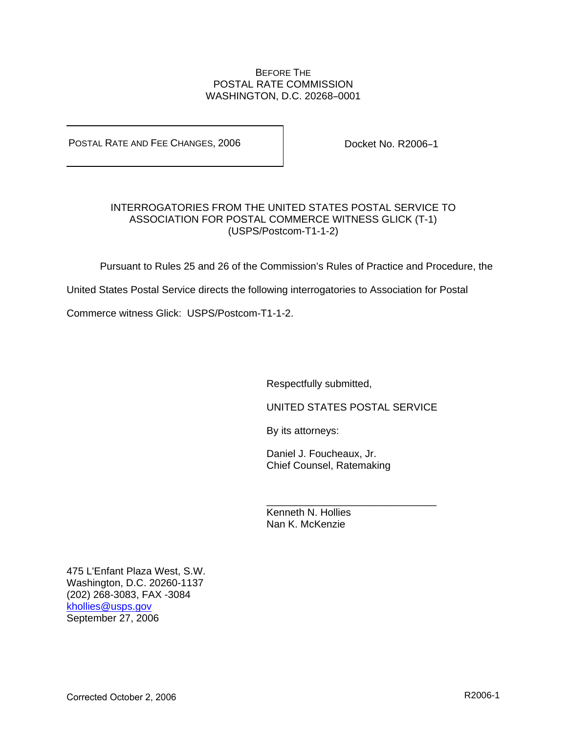## BEFORE THE POSTAL RATE COMMISSION WASHINGTON, D.C. 20268-0001

POSTAL RATE AND FEE CHANGES, 2006

Docket No. R2006-1

# INTERROGATORIES FROM THE UNITED STATES POSTAL SERVICE TO ASSOCIATION FOR POSTAL COMMERCE WITNESS GLICK (T-1) (USPS/Postcom-T1-1-2)

Pursuant to Rules 25 and 26 of the Commission's Rules of Practice and Procedure, the

United States Postal Service directs the following interrogatories to Association for Postal

 $\frac{1}{\sqrt{2\pi}}$  , and the contract of the contract of the contract of the contract of the contract of the contract of the contract of the contract of the contract of the contract of the contract of the contract of the cont

Commerce witness Glick: USPS/Postcom-T1-1-2.

Respectfully submitted,

UNITED STATES POSTAL SERVICE

By its attorneys:

Daniel J. Foucheaux, Jr. Chief Counsel, Ratemaking

 Kenneth N. Hollies Nan K. McKenzie

475 L'Enfant Plaza West, S.W. Washington, D.C. 20260-1137 (202) 268-3083, FAX -3084 khollies@usps.gov September 27, 2006